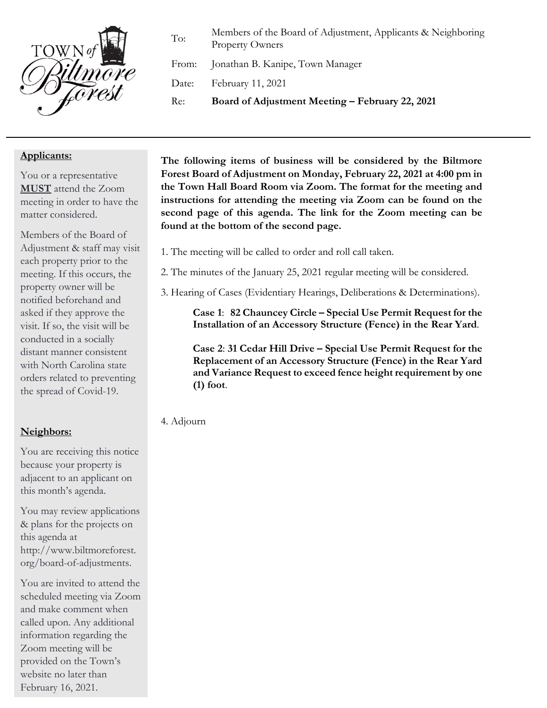

To: Members of the Board of Adjustment, Applicants & Neighboring Property Owners

From: Jonathan B. Kanipe, Town Manager

Date: February 11, 2021

Re: **Board of Adjustment Meeting – February 22, 2021**

## **Applicants:**

You or a representative **MUST** attend the Zoom meeting in order to have the matter considered.

Members of the Board of Adjustment & staff may visit each property prior to the meeting. If this occurs, the property owner will be notified beforehand and asked if they approve the visit. If so, the visit will be conducted in a socially distant manner consistent with North Carolina state orders related to preventing the spread of Covid-19.

## **Neighbors:**

You are receiving this notice because your property is adjacent to an applicant on this month's agenda.

You may review applications & plans for the projects on this agenda at http://www.biltmoreforest. org/board-of-adjustments.

You are invited to attend the scheduled meeting via Zoom and make comment when called upon. Any additional information regarding the Zoom meeting will be provided on the Town's website no later than February 16, 2021.

**The following items of business will be considered by the Biltmore Forest Board of Adjustment on Monday, February 22, 2021 at 4:00 pm in the Town Hall Board Room via Zoom. The format for the meeting and instructions for attending the meeting via Zoom can be found on the second page of this agenda. The link for the Zoom meeting can be found at the bottom of the second page.**

- 1. The meeting will be called to order and roll call taken.
- 2. The minutes of the January 25, 2021 regular meeting will be considered.
- 3. Hearing of Cases (Evidentiary Hearings, Deliberations & Determinations).

**Case 1**: **82 Chauncey Circle – Special Use Permit Request for the Installation of an Accessory Structure (Fence) in the Rear Yard**.

**Case 2**: **31 Cedar Hill Drive – Special Use Permit Request for the Replacement of an Accessory Structure (Fence) in the Rear Yard and Variance Request to exceed fence height requirement by one (1) foot**.

4. Adjourn